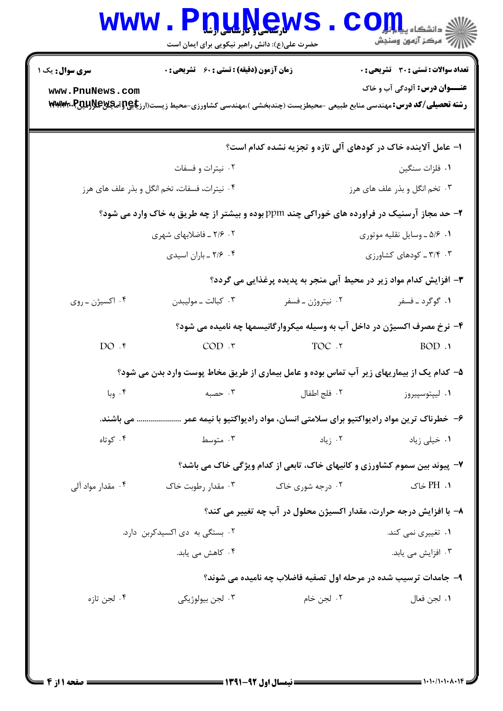| <b>سری سوال :</b> یک ۱         | <b>زمان آزمون (دقیقه) : تستی : 60 ٪ تشریحی : 0</b> |                    | <b>تعداد سوالات : تستی : 30 ٪ تشریحی : 0</b>                                                                                                                                 |  |
|--------------------------------|----------------------------------------------------|--------------------|------------------------------------------------------------------------------------------------------------------------------------------------------------------------------|--|
| www.PnuNews.com                |                                                    |                    | <b>عنـــوان درس:</b> آلودگی آب و خاک<br><b>رشته تحصیلی/کد درس:</b> مهندسی منابع طبیعی -محیطزیست (چندبخشی )،مهندسی کشاورزی-محیط زیست(ارز <b>یاچ[ترامچینچل[بیتل]، ۲۴۷۸۱۷۳۰</b> |  |
|                                |                                                    |                    | ۱– عامل آلاینده خاک در کودهای آلی تازه و تجزیه نشده کدام است؟                                                                                                                |  |
|                                | ۰۲ نیترات و فسفات                                  |                    | ٠١ فلزات سنگين                                                                                                                                                               |  |
|                                | ۰۴ نیترات، فسفات، تخم انگل و بذر علف های هرز       |                    | ۰۳ تخم انگل و بذر علف های هرز                                                                                                                                                |  |
|                                |                                                    |                    | ۲- حد مجاز آرسنیک در فراورده های خوراکی چند ppm بوده و بیشتر از چه طریق به خاک وارد می شود؟                                                                                  |  |
| ۰۲ ـ ۲/۶ ـ فاضلابهای شهری      |                                                    |                    | ۰۱ ۵/۶ ـ وسايل نقليه موتوري                                                                                                                                                  |  |
|                                | ۰۴ - ۲/۶ - باران اسيدي                             |                    | ۰۳ - ۳/۴ ـ کودهای کشاورزی                                                                                                                                                    |  |
|                                |                                                    |                    | ۳- افزایش کدام مواد زیر در محیط آبی منجر به پدیده پرغذایی می گردد؟                                                                                                           |  |
| ۰۴ اکسیژن ـ روی                | ۰۳ کبالت ــ موليبدن                                | ۰۲ نيتروژن ــ فسفر | ۰۱ گوگرد ـ فسفر                                                                                                                                                              |  |
|                                |                                                    |                    | ۴- نرخ مصرف اکسیژن در داخل آب به وسیله میکروارگانیسمها چه نامیده می شود؟                                                                                                     |  |
| DO.                            | $COD.$ $\mathsf{r}$                                | TOC .Y             | BOD.1                                                                                                                                                                        |  |
|                                |                                                    |                    | ۵– کدام یک از بیماریهای زیر آب تماس بوده و عامل بیماری از طریق مخاط پوست وارد بدن می شود؟                                                                                    |  |
|                                |                                                    |                    | ۰۱ ليپتوسپيروز                                                                                                                                                               |  |
|                                |                                                    |                    | ۶– خطرناک ترین مواد رادیواکتیو برای سلامتی انسان، مواد رادیواکتیو با نیمه عمر  می باشند.                                                                                     |  |
| ۰۴ کوتاه                       | ۰۳ متوسط                                           | ۰۲ زیاد            | ۰۱ خیلی زیاد                                                                                                                                                                 |  |
|                                |                                                    |                    | ۷- پیوند بین سموم کشاورزی و کانیهای خاک، تابعی از کدام ویژگی خاک می باشد؟                                                                                                    |  |
| ۰۴ مقدار مواد آلی              | ۰۳ مقدار رطوبت خاک                                 | ۰۲ درجه شوری خاک   | ۰۱. PH خاک                                                                                                                                                                   |  |
|                                |                                                    |                    | ۸– با افزایش درجه حرارت، مقدار اکسیژن محلول در آب چه تغییر می کند؟                                                                                                           |  |
| ۰۲ بستگی به دی اکسیدکربن دارد. |                                                    |                    | ۰۱ تغییری نم <sub>ی</sub> کند.                                                                                                                                               |  |
|                                | ۰۴ کاهش می یابد.                                   |                    | ۰۳ افزایش می یابد.                                                                                                                                                           |  |
|                                |                                                    |                    | ۹- جامدات ترسیب شده در مرحله اول تصفیه فاضلاب چه نامیده می شوند؟                                                                                                             |  |
| ۰۴ لجن تازه                    | ۰۳ لجن بيولوژيک <i>ي</i>                           | ۰۲ لجن خام         | ٠١. لجن فعال                                                                                                                                                                 |  |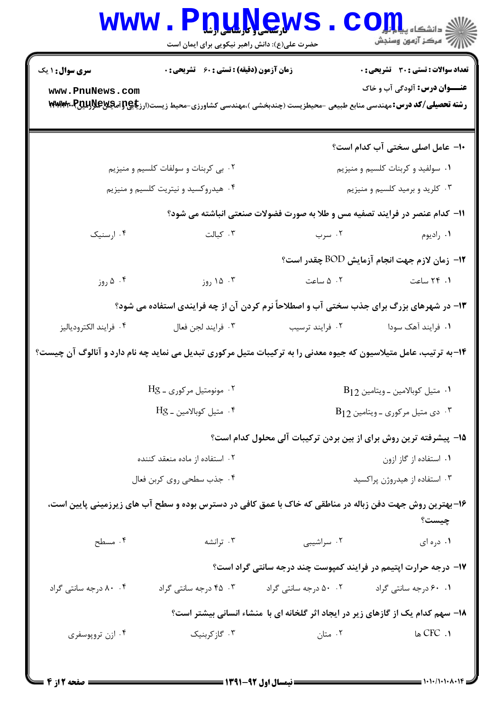| <b>WWW</b>                                                                                                       | حضرت علی(ع): دانش راهبر نیکویی برای ایمان است                                  | <u>DTWEWS</u>                                                                                                                    | د دانشکاه پی <mark>ا با</mark> یا <mark></mark><br>أأزاته مرکز آزمون وسنجش |
|------------------------------------------------------------------------------------------------------------------|--------------------------------------------------------------------------------|----------------------------------------------------------------------------------------------------------------------------------|----------------------------------------------------------------------------|
| <b>سری سوال : ۱ یک</b>                                                                                           | <b>زمان آزمون (دقیقه) : تستی : 60 ٪ تشریحی : 0</b>                             |                                                                                                                                  | <b>تعداد سوالات : تستی : 30 ٪ تشریحی : 0</b>                               |
| www.PnuNews.com                                                                                                  |                                                                                | <b>رشته تحصیلی/کد درس:</b> مهندسی منابع طبیعی -محیطزیست (چندبخشی )،مهندسی کشاورزی-محیط زیست(ارز <b>یاچ[ترامچینچل[بیتل]،*\www</b> | <b>عنـــوان درس:</b> آلودگی آب و خاک                                       |
|                                                                                                                  |                                                                                |                                                                                                                                  | ۱۰– عامل اصلی سختی آب کدام است؟                                            |
|                                                                                                                  | ۰۲ بی کربنات و سولفات کلسیم و منیزیم                                           |                                                                                                                                  | ۰۱ سولفید و کربنات کلسیم و منیزیم                                          |
|                                                                                                                  | ۰۴ هیدروکسید و نیتریت کلسیم و منیزیم                                           |                                                                                                                                  | ۰۳ کلرید و برمید کلسیم و منیزیم                                            |
|                                                                                                                  |                                                                                | 11- کدام عنصر در فرایند تصفیه مس و طلا به صورت فضولات صنعتی انباشته می شود؟                                                      |                                                                            |
| ۰۴ ارسنیک                                                                                                        | ۰۳ کبالت                                                                       | ۰۲ سرب                                                                                                                           | ۰۱ راديوم                                                                  |
|                                                                                                                  |                                                                                |                                                                                                                                  | ۱۲- زمان لازم جهت انجام آزمایش BOD چقدر است؟                               |
| ۰۴ دوز                                                                                                           | ۰۳ ۱۵ روز                                                                      |                                                                                                                                  | ۰ <b>۱</b> ۴۹ ساعت مساعت ۵۰۲                                               |
|                                                                                                                  |                                                                                | ۱۳- در شهرهای بزرگ برای جذب سختی آب و اصطلاحاً نرم کردن آن از چه فرایندی استفاده می شود؟                                         |                                                                            |
| ۰۴ فرايند الكترودياليز                                                                                           | ٠٣ فرايند لجن فعال                                                             | ۰۲ فرایند ترسیب                                                                                                                  | ۰۱ فرایند آهک سودا                                                         |
| ۱۴-به ترتیب، عامل متیلاسیون که جیوه معدنی را به ترکیبات متیل مرکوری تبدیل می نماید چه نام دارد و آنالوگ آن چیست؟ |                                                                                |                                                                                                                                  |                                                                            |
|                                                                                                                  | ۰۲ مونومتیل مرکوری ـ Hg<br>$B_{12}$ متيل كوبالامين - ويتامين B <sub>12</sub>   |                                                                                                                                  |                                                                            |
|                                                                                                                  | ۰۴ متيل كوبالامين ـ Hg<br>$B_{12}$ ۰۳ می متیل مرکوری - ویتامین B <sub>12</sub> |                                                                                                                                  |                                                                            |
|                                                                                                                  |                                                                                | ۱۵– پیشرفته ترین روش برای از بین بردن ترکیبات آلی محلول کدام است؟                                                                |                                                                            |
| ۰۲ استفاده از ماده منعقد کننده                                                                                   |                                                                                | ۰۱ استفاده از گاز ازون                                                                                                           |                                                                            |
| ۰۴ جذب سطحي روي كربن فعال                                                                                        |                                                                                | ۰۳ استفاده از هیدروژن پراکسید                                                                                                    |                                                                            |
|                                                                                                                  |                                                                                | ۱۶- بهترین روش جهت دفن زباله در مناطقی که خاک با عمق کافی در دسترس بوده و سطح آب های زیرزمینی پایین است،                         | چیست؟                                                                      |
| ۰۴ مسطح                                                                                                          | ۰۳ ترانشه $\cdot$                                                              | ۰۲ سراشیبی                                                                                                                       | ٠١ دره ای                                                                  |
|                                                                                                                  |                                                                                | ۱۷- درجه حرارت اپتیمم در فرایند کمپوست چند درجه سانتی گراد است؟                                                                  |                                                                            |
| ۰۴ ۸۰ درجه سانتی گراد                                                                                            | ۰۳ درجه سانتی گراد                                                             | ۰۰ ۵۰ درجه سانتی گراد                                                                                                            | ۰.۱ ۶۰ درجه سانتی گراد                                                     |
|                                                                                                                  |                                                                                | ۱۸- سهم کدام یک از گازهای زیر در ایجاد اثر گلخانه ای با منشاء انسانی بیشتر است؟                                                  |                                                                            |
| ۰۴ ازن تروپوسفری                                                                                                 | ۰۳ گازکربنیک                                                                   | ۰۲ متان                                                                                                                          | CFC . ۱ ها                                                                 |
|                                                                                                                  |                                                                                |                                                                                                                                  |                                                                            |

 $\blacksquare$  ) • ) • / ) • ) •  $\Lambda$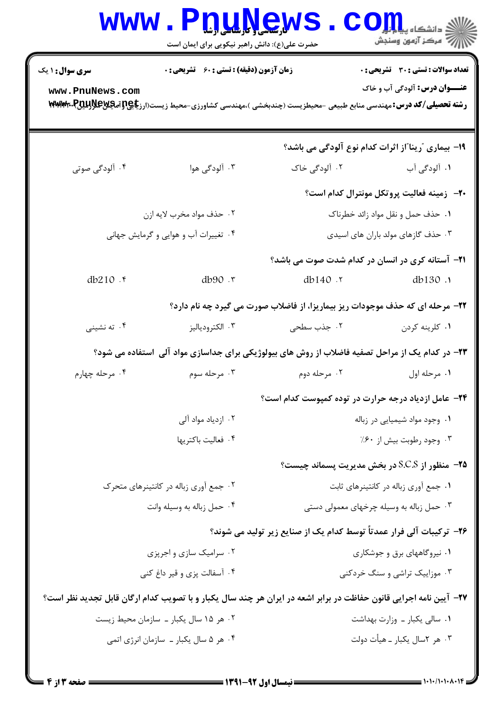| <b>WWW</b>             | <b>I. L. L. L. L. L.</b><br>حضرت علی(ع): دانش راهبر نیکویی برای ایمان است |                                                                                                                                  | د دانشگاه پی <mark>ا ب</mark> ا ت <mark>و</mark><br>ر آمرڪز آزمون وسنڊش |
|------------------------|---------------------------------------------------------------------------|----------------------------------------------------------------------------------------------------------------------------------|-------------------------------------------------------------------------|
| <b>سری سوال : ۱ یک</b> | زمان آزمون (دقیقه) : تستی : ۶۰٪ تشریحی : ۰                                |                                                                                                                                  | <b>تعداد سوالات : تستی : 30 ٪ تشریحی : 0</b>                            |
| www.PnuNews.com        |                                                                           | <b>رشته تحصیلی/کد درس:</b> مهندسی منابع طبیعی -محیطزیست (چندبخشی )،مهندسی کشاورزی-محیط زیست(ارز <b>یاچ[ترامچینچل[بیتل]،*\www</b> | <b>عنـــوان درس:</b> آلودگی آب و خاک                                    |
|                        |                                                                           | ۱۹- بیماری <b>"رینا"از اثرات کدام نوع آلودگی می باشد</b> ؟                                                                       |                                                                         |
| ۰۴ آلودگی صوتی         | ۰۳ آلودگی هوا                                                             | ۰۲ آلودگی خاک                                                                                                                    | ۰۱ آلودگی آب                                                            |
|                        |                                                                           |                                                                                                                                  | <b>۲۰</b> زمینه فعالیت پروتکل مونترال کدام است؟                         |
|                        | ۰۲ حذف مواد مخرب لايه ازن                                                 | ۰۱ حذف حمل و نقل مواد زائد خطرناک                                                                                                |                                                                         |
|                        | ۰۴ تغییرات آب و هوایی و گرمایش جهانی                                      | ۰۳ حذف گازهای مولد باران های اسیدی                                                                                               |                                                                         |
|                        |                                                                           | <b>۲۱</b> – آستانه کری در انسان در کدام شدت صوت می باشد؟                                                                         |                                                                         |
| db210 .r               | db90 .r                                                                   | db140 .r                                                                                                                         | db130.1                                                                 |
|                        |                                                                           | ۲۲- مرحله ای که حذف موجودات ریز بیماریزا، از فاضلاب صورت می گیرد چه نام دارد؟                                                    |                                                                         |
| ۰۴ ته نشینی            | ۰۳ الکترودیالیز                                                           | ۰۲ جذب سطحی                                                                                                                      | ۰۱ کلرينه کردن                                                          |
|                        |                                                                           | ۲۳- در کدام یک از مراحل تصفیه فاضلاب از روش های بیولوژیکی برای جداسازی مواد آلی ۱ستفاده می شود؟                                  |                                                                         |
| ۰۴ مرحله چهارم         | ۰۳ مرحله سوم                                                              | ۰۲ مرحله دوم                                                                                                                     | ٠١ مرحله اول                                                            |
|                        |                                                                           | ۲۴- عامل ازدیاد درجه حرارت در توده کمپوست کدام است؟                                                                              |                                                                         |
|                        | ۰۲ ازدیاد مواد آلی                                                        | ۰۱ وجود مواد شیمیایی در زباله                                                                                                    |                                                                         |
|                        | ۰۴ فعاليت باكتريها                                                        | ۰۳ وجود رطوبت بيش از ۶۰٪                                                                                                         |                                                                         |
|                        |                                                                           | <b>۲۵</b> - منظور از S.C.S در بخش مدیریت پسماند چیست؟                                                                            |                                                                         |
|                        | ۰۲ جمع آوری زباله در کانتینرهای متحرک                                     | ٠١ جمع آوري زباله در كانتينرهاي ثابت                                                                                             |                                                                         |
|                        | ۰۴ حمل زباله به وسيله وانت                                                | ۰۳ حمل زباله به وسیله چرخهای معمولی دستی                                                                                         |                                                                         |
|                        |                                                                           | ۲۶– ترکیبات آلی فرار عمدتاً توسط کدام یک از صنایع زیر تولید می شوند؟                                                             |                                                                         |
|                        | ۰۲ سرامیک سازی و اجرپزی                                                   | ٠١ نيروگاههاي برق و جوشكاري                                                                                                      |                                                                         |
|                        | ۰۴ آسفالت پزی و قیر داغ کنی                                               |                                                                                                                                  | ۰۳ موزاییک تراشی و سنگ خردکنی                                           |
|                        |                                                                           | ۲۷- آیین نامه اجرایی قانون حفاظت در برابر اشعه در ایران هر چند سال یکبار و با تصویب کدام ارگان قابل تجدید نظر است؟               |                                                                         |
|                        | ۰۲ هر ۱۵ سال یکبار ــ سازمان محیط زیست                                    | ٠١ سالي يكبار ــ وزارت بهداشت                                                                                                    |                                                                         |
|                        | ۰۴ هر ۵ سال یکبار ـ سازمان انرژی اتمی                                     | ۰۳ هر ۲سال یکبار ــ هیأت دولت                                                                                                    |                                                                         |
|                        |                                                                           |                                                                                                                                  |                                                                         |

 $\blacksquare$  )  $\cdot$  )  $\cdot$  )  $\cdot$  )  $\cdot$   $\wedge$   $\cdot$